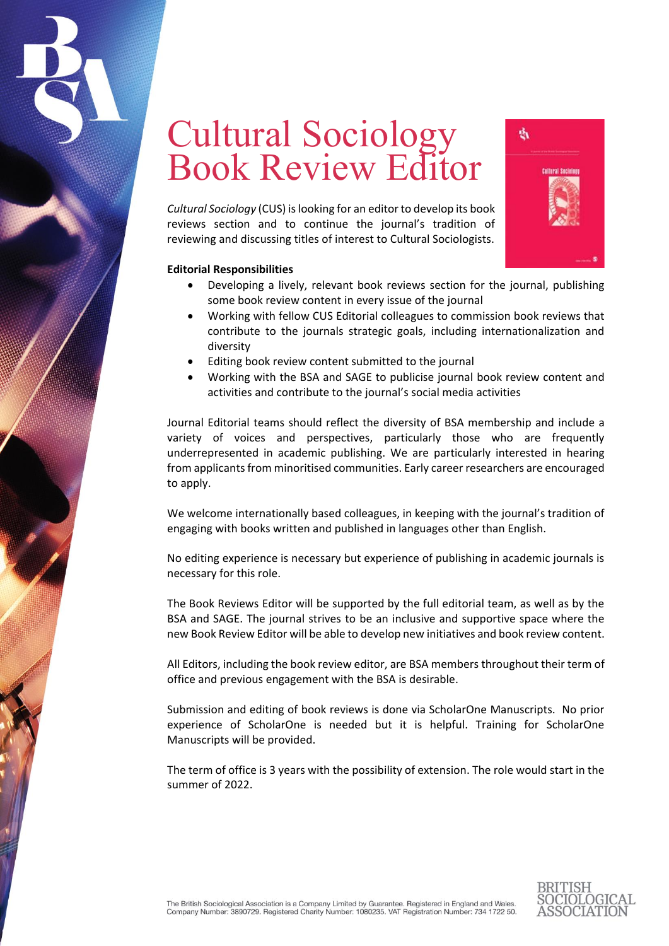## Cultural Sociology Book Review Editor

*Cultural Sociology* (CUS) is looking for an editor to develop its book reviews section and to continue the journal's tradition of reviewing and discussing titles of interest to Cultural Sociologists.



## **Editorial Responsibilities**

- Developing a lively, relevant book reviews section for the journal, publishing some book review content in every issue of the journal
- Working with fellow CUS Editorial colleagues to commission book reviews that contribute to the journals strategic goals, including internationalization and diversity
- Editing book review content submitted to the journal
- Working with the BSA and SAGE to publicise journal book review content and activities and contribute to the journal's social media activities

Journal Editorial teams should reflect the diversity of BSA membership and include a variety of voices and perspectives, particularly those who are frequently underrepresented in academic publishing. We are particularly interested in hearing from applicants from minoritised communities. Early career researchers are encouraged to apply.

We welcome internationally based colleagues, in keeping with the journal's tradition of engaging with books written and published in languages other than English.

No editing experience is necessary but experience of publishing in academic journals is necessary for this role.

The Book Reviews Editor will be supported by the full editorial team, as well as by the BSA and SAGE. The journal strives to be an inclusive and supportive space where the new Book Review Editor will be able to develop new initiatives and book review content.

All Editors, including the book review editor, are BSA members throughout their term of office and previous engagement with the BSA is desirable.

Submission and editing of book reviews is done via ScholarOne Manuscripts. No prior experience of ScholarOne is needed but it is helpful. Training for ScholarOne Manuscripts will be provided.

The term of office is 3 years with the possibility of extension. The role would start in the summer of 2022.